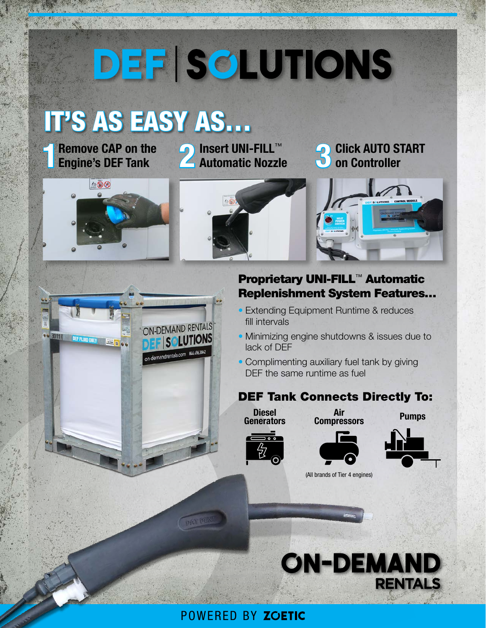# DEF SOLUTIONS

## IT'S AS EASY AS…

ON-DEMAND RENTALS

on-demandrentals.com 844.496.3842

SOLUTIONS

■ Remove CAP on the **2** Insert UNI-FILL™<br> **Engine's DEF Tank** Automatic Nozzl

**Automatic Nozzle 3 Click AUTO START on Controller**



OG 3011 F DEFFLUD ONLY EXECUTE OG





#### Proprietary UNI-FILL™ Automatic Replenishment System Features…

- Extending Equipment Runtime & reduces fill intervals
- Minimizing engine shutdowns & issues due to lack of DEF
- Complimenting auxiliary fuel tank by giving DEF the same runtime as fuel

#### DEF Tank Connects Directly To:



Air **Compressors** 

Pumps







(All brands of Tier 4 engines)



#### POWERED BY ZOETIC